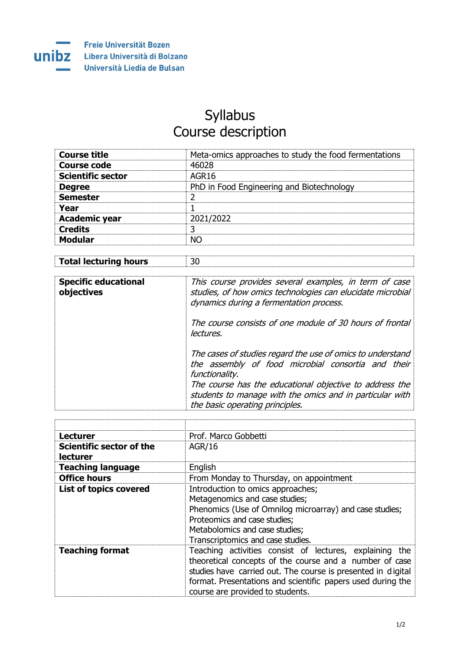

## Syllabus Course description

| <b>Course title</b>      | Meta-omics approaches to study the food fermentations |
|--------------------------|-------------------------------------------------------|
| <b>Course code</b>       | 46028                                                 |
| <b>Scientific sector</b> | AGR <sub>16</sub>                                     |
| <b>Degree</b>            | PhD in Food Engineering and Biotechnology             |
| <b>Semester</b>          |                                                       |
| Year                     |                                                       |
| <b>Academic year</b>     | 2021/2022                                             |
| <b>Credits</b>           | 3                                                     |
| <b>Modular</b>           | חח                                                    |
|                          |                                                       |

| <b>Total lecturing hours</b> |  |
|------------------------------|--|
|                              |  |

| <b>Specific educational</b><br>objectives | This course provides several examples, in term of case<br>studies, of how omics technologies can elucidate microbial<br>dynamics during a fermentation process.                                                                                                                              |
|-------------------------------------------|----------------------------------------------------------------------------------------------------------------------------------------------------------------------------------------------------------------------------------------------------------------------------------------------|
|                                           | The course consists of one module of 30 hours of frontal<br>lectures.                                                                                                                                                                                                                        |
|                                           | The cases of studies regard the use of omics to understand<br>the assembly of food microbial consortia and their<br>functionality.<br>The course has the educational objective to address the<br>students to manage with the omics and in particular with<br>the basic operating principles. |

| Lecturer                             | Prof. Marco Gobbetti                                                                                                                                                                                                                                                                  |
|--------------------------------------|---------------------------------------------------------------------------------------------------------------------------------------------------------------------------------------------------------------------------------------------------------------------------------------|
| Scientific sector of the<br>lecturer | AGR/16                                                                                                                                                                                                                                                                                |
| <b>Teaching language</b>             | English                                                                                                                                                                                                                                                                               |
| <b>Office hours</b>                  | From Monday to Thursday, on appointment                                                                                                                                                                                                                                               |
| <b>List of topics covered</b>        | Introduction to omics approaches;<br>Metagenomics and case studies;<br>Phenomics (Use of Omnilog microarray) and case studies;<br>Proteomics and case studies;<br>Metabolomics and case studies;<br>Transcriptomics and case studies.                                                 |
| <b>Teaching format</b>               | Teaching activities consist of lectures, explaining the<br>theoretical concepts of the course and a number of case<br>studies have carried out. The course is presented in digital<br>format. Presentations and scientific papers used during the<br>course are provided to students. |